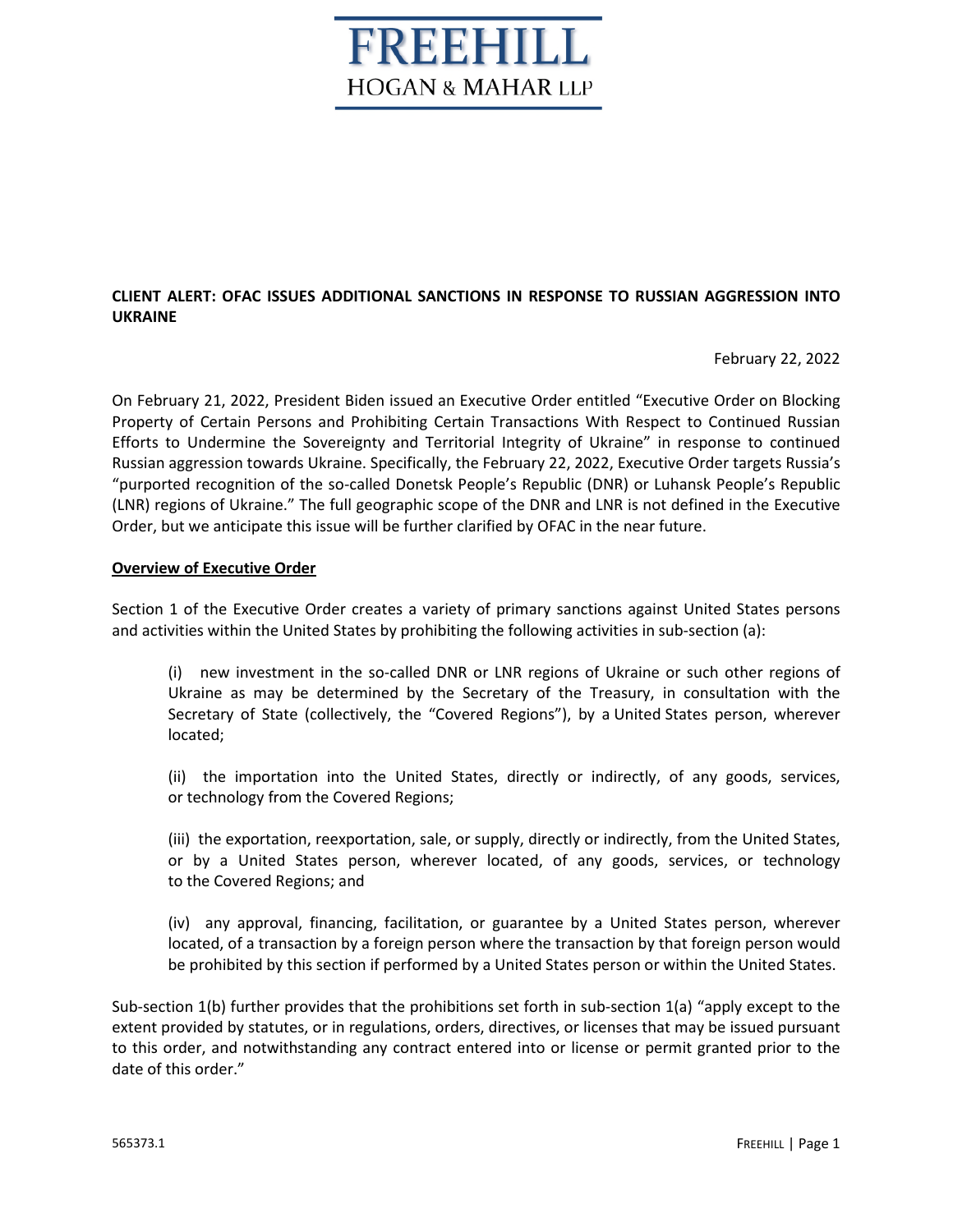# REEHILL **HOGAN & MAHAR LLP**

## **CLIENT ALERT: OFAC ISSUES ADDITIONAL SANCTIONS IN RESPONSE TO RUSSIAN AGGRESSION INTO UKRAINE**

February 22, 2022

On February 21, 2022, President Biden issued an Executive Order entitled "Executive Order on Blocking Property of Certain Persons and Prohibiting Certain Transactions With Respect to Continued Russian Efforts to Undermine the Sovereignty and Territorial Integrity of Ukraine" in response to continued Russian aggression towards Ukraine. Specifically, the February 22, 2022, Executive Order targets Russia's "purported recognition of the so-called Donetsk People's Republic (DNR) or Luhansk People's Republic (LNR) regions of Ukraine." The full geographic scope of the DNR and LNR is not defined in the Executive Order, but we anticipate this issue will be further clarified by OFAC in the near future.

### **Overview of Executive Order**

Section 1 of the Executive Order creates a variety of primary sanctions against United States persons and activities within the United States by prohibiting the following activities in sub-section (a):

(i) new investment in the so-called DNR or LNR regions of Ukraine or such other regions of Ukraine as may be determined by the Secretary of the Treasury, in consultation with the Secretary of State (collectively, the "Covered Regions"), by a United States person, wherever located;

(ii) the importation into the United States, directly or indirectly, of any goods, services, or technology from the Covered Regions;

(iii) the exportation, reexportation, sale, or supply, directly or indirectly, from the United States, or by a United States person, wherever located, of any goods, services, or technology to the Covered Regions; and

(iv) any approval, financing, facilitation, or guarantee by a United States person, wherever located, of a transaction by a foreign person where the transaction by that foreign person would be prohibited by this section if performed by a United States person or within the United States.

Sub-section 1(b) further provides that the prohibitions set forth in sub-section 1(a) "apply except to the extent provided by statutes, or in regulations, orders, directives, or licenses that may be issued pursuant to this order, and notwithstanding any contract entered into or license or permit granted prior to the date of this order."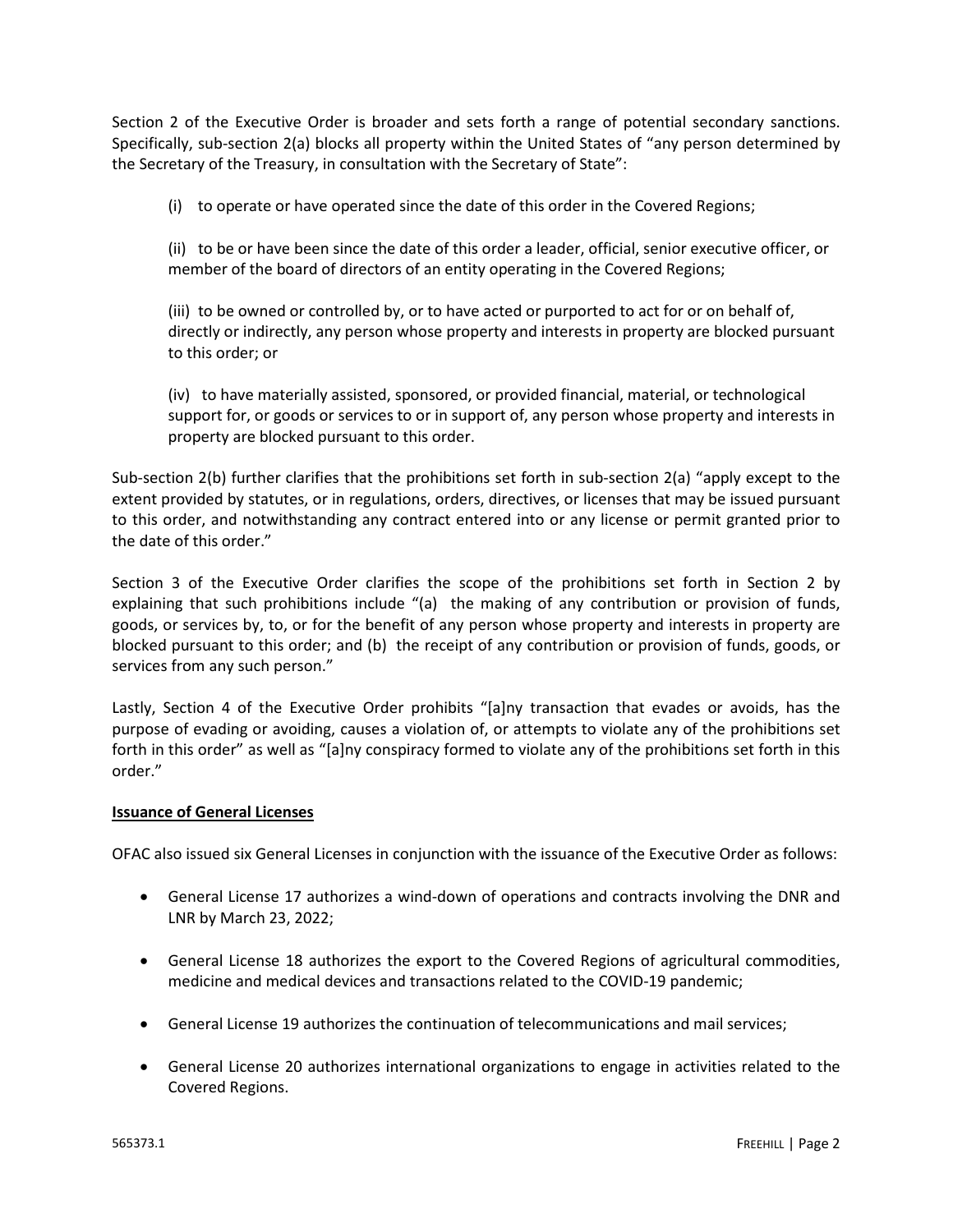Section 2 of the Executive Order is broader and sets forth a range of potential secondary sanctions. Specifically, sub-section 2(a) blocks all property within the United States of "any person determined by the Secretary of the Treasury, in consultation with the Secretary of State":

(i) to operate or have operated since the date of this order in the Covered Regions;

(ii) to be or have been since the date of this order a leader, official, senior executive officer, or member of the board of directors of an entity operating in the Covered Regions;

(iii) to be owned or controlled by, or to have acted or purported to act for or on behalf of, directly or indirectly, any person whose property and interests in property are blocked pursuant to this order; or

(iv) to have materially assisted, sponsored, or provided financial, material, or technological support for, or goods or services to or in support of, any person whose property and interests in property are blocked pursuant to this order.

Sub-section 2(b) further clarifies that the prohibitions set forth in sub-section 2(a) "apply except to the extent provided by statutes, or in regulations, orders, directives, or licenses that may be issued pursuant to this order, and notwithstanding any contract entered into or any license or permit granted prior to the date of this order."

Section 3 of the Executive Order clarifies the scope of the prohibitions set forth in Section 2 by explaining that such prohibitions include "(a) the making of any contribution or provision of funds, goods, or services by, to, or for the benefit of any person whose property and interests in property are blocked pursuant to this order; and (b) the receipt of any contribution or provision of funds, goods, or services from any such person."

Lastly, Section 4 of the Executive Order prohibits "[a]ny transaction that evades or avoids, has the purpose of evading or avoiding, causes a violation of, or attempts to violate any of the prohibitions set forth in this order" as well as "[a]ny conspiracy formed to violate any of the prohibitions set forth in this order."

### **Issuance of General Licenses**

OFAC also issued six General Licenses in conjunction with the issuance of the Executive Order as follows:

- General License 17 authorizes a wind-down of operations and contracts involving the DNR and LNR by March 23, 2022;
- General License 18 authorizes the export to the Covered Regions of agricultural commodities, medicine and medical devices and transactions related to the COVID-19 pandemic;
- General License 19 authorizes the continuation of telecommunications and mail services;
- General License 20 authorizes international organizations to engage in activities related to the Covered Regions.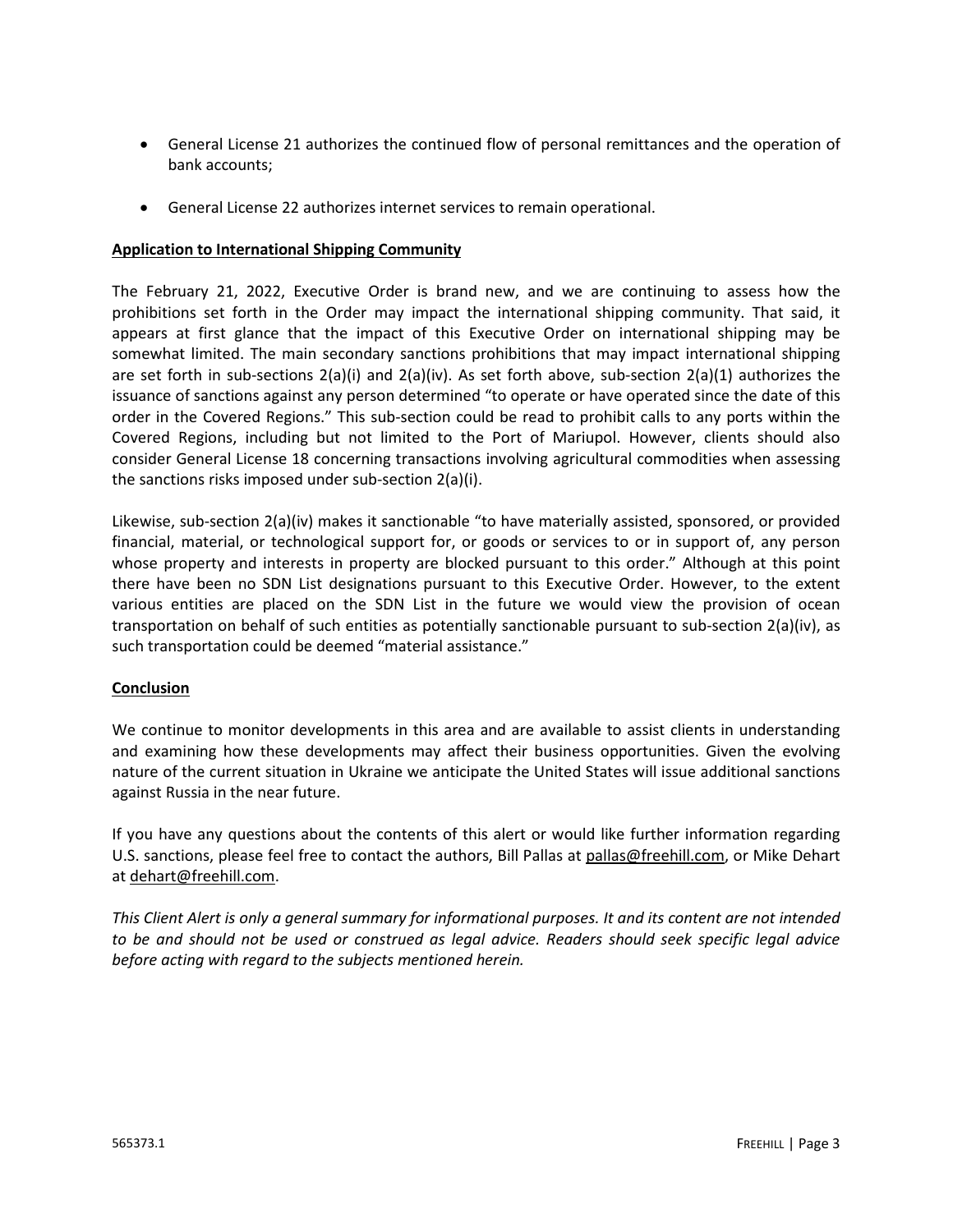- General License 21 authorizes the continued flow of personal remittances and the operation of bank accounts;
- General License 22 authorizes internet services to remain operational.

#### **Application to International Shipping Community**

The February 21, 2022, Executive Order is brand new, and we are continuing to assess how the prohibitions set forth in the Order may impact the international shipping community. That said, it appears at first glance that the impact of this Executive Order on international shipping may be somewhat limited. The main secondary sanctions prohibitions that may impact international shipping are set forth in sub-sections 2(a)(i) and 2(a)(iv). As set forth above, sub-section 2(a)(1) authorizes the issuance of sanctions against any person determined "to operate or have operated since the date of this order in the Covered Regions." This sub-section could be read to prohibit calls to any ports within the Covered Regions, including but not limited to the Port of Mariupol. However, clients should also consider General License 18 concerning transactions involving agricultural commodities when assessing the sanctions risks imposed under sub-section 2(a)(i).

Likewise, sub-section 2(a)(iv) makes it sanctionable "to have materially assisted, sponsored, or provided financial, material, or technological support for, or goods or services to or in support of, any person whose property and interests in property are blocked pursuant to this order." Although at this point there have been no SDN List designations pursuant to this Executive Order. However, to the extent various entities are placed on the SDN List in the future we would view the provision of ocean transportation on behalf of such entities as potentially sanctionable pursuant to sub-section 2(a)(iv), as such transportation could be deemed "material assistance."

### **Conclusion**

We continue to monitor developments in this area and are available to assist clients in understanding and examining how these developments may affect their business opportunities. Given the evolving nature of the current situation in Ukraine we anticipate the United States will issue additional sanctions against Russia in the near future.

If you have any questions about the contents of this alert or would like further information regarding U.S. sanctions, please feel free to contact the authors, Bill Pallas at pallas@freehill.com, or Mike Dehart at dehart@freehill.com.

*This Client Alert is only a general summary for informational purposes. It and its content are not intended to be and should not be used or construed as legal advice. Readers should seek specific legal advice before acting with regard to the subjects mentioned herein.*